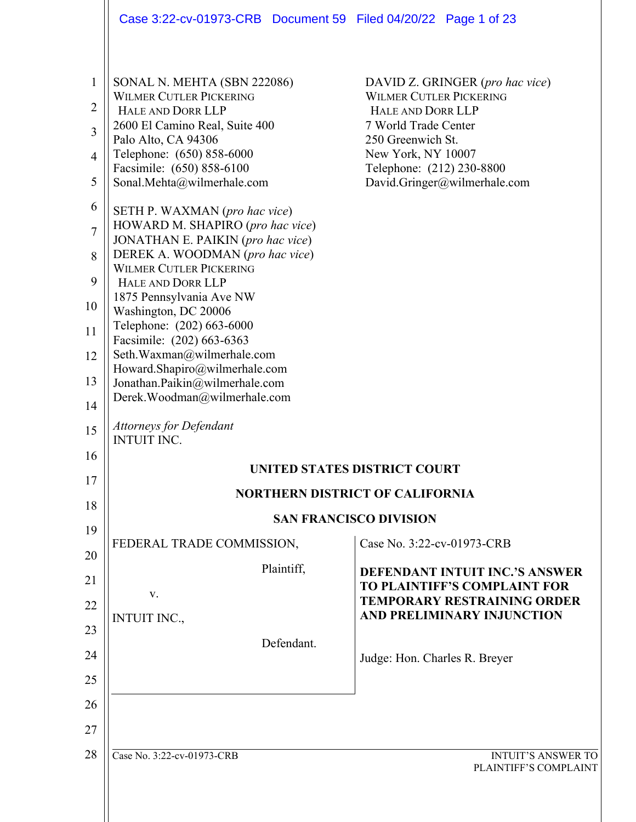|                                                                                                                    | Case 3:22-cv-01973-CRB  Document 59  Filed 04/20/22  Page 1 of 23                                                                                                                                                                                                                                                                                                                                                                                                                                                                                                                                                                                                                                                        |                                                                                                                                                                                                                        |  |  |
|--------------------------------------------------------------------------------------------------------------------|--------------------------------------------------------------------------------------------------------------------------------------------------------------------------------------------------------------------------------------------------------------------------------------------------------------------------------------------------------------------------------------------------------------------------------------------------------------------------------------------------------------------------------------------------------------------------------------------------------------------------------------------------------------------------------------------------------------------------|------------------------------------------------------------------------------------------------------------------------------------------------------------------------------------------------------------------------|--|--|
| $\mathbf{1}$<br>$\overline{2}$<br>3<br>4<br>5<br>6<br>$\overline{7}$<br>8<br>9<br>10<br>11<br>12<br>13<br>14<br>15 | SONAL N. MEHTA (SBN 222086)<br><b>WILMER CUTLER PICKERING</b><br>HALE AND DORR LLP<br>2600 El Camino Real, Suite 400<br>Palo Alto, CA 94306<br>Telephone: (650) 858-6000<br>Facsimile: (650) 858-6100<br>Sonal.Mehta@wilmerhale.com<br>SETH P. WAXMAN (pro hac vice)<br>HOWARD M. SHAPIRO (pro hac vice)<br>JONATHAN E. PAIKIN (pro hac vice)<br>DEREK A. WOODMAN (pro hac vice)<br><b>WILMER CUTLER PICKERING</b><br>HALE AND DORR LLP<br>1875 Pennsylvania Ave NW<br>Washington, DC 20006<br>Telephone: (202) 663-6000<br>Facsimile: (202) 663-6363<br>Seth.Waxman@wilmerhale.com<br>Howard.Shapiro@wilmerhale.com<br>Jonathan.Paikin@wilmerhale.com<br>Derek.Woodman@wilmerhale.com<br><b>Attorneys for Defendant</b> | DAVID Z. GRINGER (pro hac vice)<br><b>WILMER CUTLER PICKERING</b><br>HALE AND DORR LLP<br>7 World Trade Center<br>250 Greenwich St.<br>New York, NY 10007<br>Telephone: (212) 230-8800<br>David.Gringer@wilmerhale.com |  |  |
| 16                                                                                                                 | <b>INTUIT INC.</b>                                                                                                                                                                                                                                                                                                                                                                                                                                                                                                                                                                                                                                                                                                       |                                                                                                                                                                                                                        |  |  |
| 17                                                                                                                 | <b>UNITED STATES DISTRICT COURT</b>                                                                                                                                                                                                                                                                                                                                                                                                                                                                                                                                                                                                                                                                                      |                                                                                                                                                                                                                        |  |  |
| 18                                                                                                                 | <b>NORTHERN DISTRICT OF CALIFORNIA</b>                                                                                                                                                                                                                                                                                                                                                                                                                                                                                                                                                                                                                                                                                   |                                                                                                                                                                                                                        |  |  |
| 19                                                                                                                 | FEDERAL TRADE COMMISSION,                                                                                                                                                                                                                                                                                                                                                                                                                                                                                                                                                                                                                                                                                                | <b>SAN FRANCISCO DIVISION</b><br>Case No. 3:22-cv-01973-CRB                                                                                                                                                            |  |  |
| 20                                                                                                                 | Plaintiff,                                                                                                                                                                                                                                                                                                                                                                                                                                                                                                                                                                                                                                                                                                               |                                                                                                                                                                                                                        |  |  |
| 21                                                                                                                 | V.                                                                                                                                                                                                                                                                                                                                                                                                                                                                                                                                                                                                                                                                                                                       | <b>DEFENDANT INTUIT INC.'S ANSWER</b><br><b>TO PLAINTIFF'S COMPLAINT FOR</b>                                                                                                                                           |  |  |
| 22                                                                                                                 | <b>INTUIT INC.,</b>                                                                                                                                                                                                                                                                                                                                                                                                                                                                                                                                                                                                                                                                                                      | <b>TEMPORARY RESTRAINING ORDER</b><br>AND PRELIMINARY INJUNCTION                                                                                                                                                       |  |  |
| 23                                                                                                                 | Defendant.                                                                                                                                                                                                                                                                                                                                                                                                                                                                                                                                                                                                                                                                                                               |                                                                                                                                                                                                                        |  |  |
| 24                                                                                                                 |                                                                                                                                                                                                                                                                                                                                                                                                                                                                                                                                                                                                                                                                                                                          | Judge: Hon. Charles R. Breyer                                                                                                                                                                                          |  |  |
| 25                                                                                                                 |                                                                                                                                                                                                                                                                                                                                                                                                                                                                                                                                                                                                                                                                                                                          |                                                                                                                                                                                                                        |  |  |
| 26                                                                                                                 |                                                                                                                                                                                                                                                                                                                                                                                                                                                                                                                                                                                                                                                                                                                          |                                                                                                                                                                                                                        |  |  |
| 27                                                                                                                 |                                                                                                                                                                                                                                                                                                                                                                                                                                                                                                                                                                                                                                                                                                                          |                                                                                                                                                                                                                        |  |  |
| 28                                                                                                                 | Case No. 3:22-cv-01973-CRB                                                                                                                                                                                                                                                                                                                                                                                                                                                                                                                                                                                                                                                                                               | <b>INTUIT'S ANSWER TO</b><br>PLAINTIFF'S COMPLAINT                                                                                                                                                                     |  |  |
|                                                                                                                    |                                                                                                                                                                                                                                                                                                                                                                                                                                                                                                                                                                                                                                                                                                                          |                                                                                                                                                                                                                        |  |  |

 $\parallel$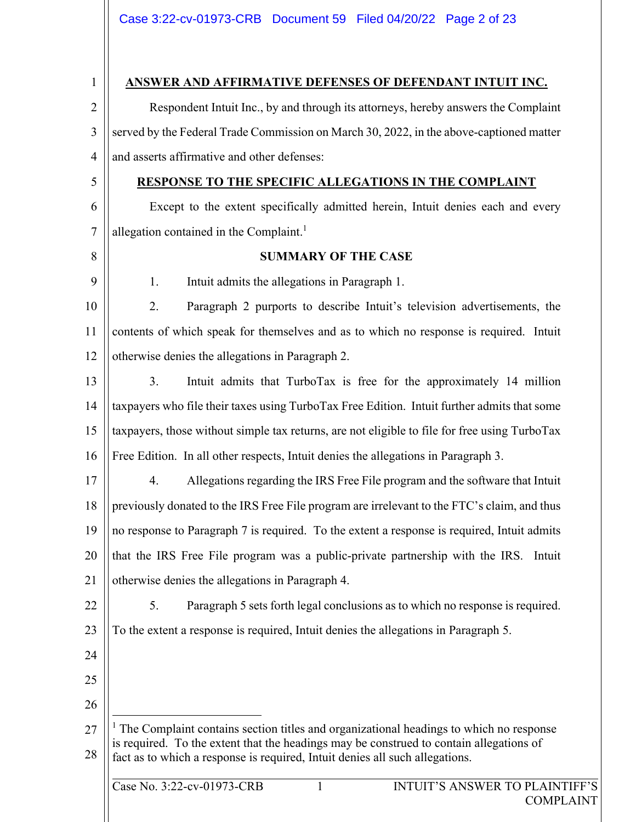Case No. 3:22-cv-01973-CRB 1 INTUIT'S ANSWER TO PLAINTIFF'S 1 2 3 4 5 6 7 8 9 10 11 12 13 14 15 16 17 18 19 20 21 22 23 24 25 26 27 28 **ANSWER AND AFFIRMATIVE DEFENSES OF DEFENDANT INTUIT INC.**  Respondent Intuit Inc., by and through its attorneys, hereby answers the Complaint served by the Federal Trade Commission on March 30, 2022, in the above-captioned matter and asserts affirmative and other defenses: **RESPONSE TO THE SPECIFIC ALLEGATIONS IN THE COMPLAINT**  Except to the extent specifically admitted herein, Intuit denies each and every allegation contained in the Complaint. $<sup>1</sup>$ </sup> **SUMMARY OF THE CASE**  1. Intuit admits the allegations in Paragraph 1. 2. Paragraph 2 purports to describe Intuit's television advertisements, the contents of which speak for themselves and as to which no response is required. Intuit otherwise denies the allegations in Paragraph 2. 3. Intuit admits that TurboTax is free for the approximately 14 million taxpayers who file their taxes using TurboTax Free Edition. Intuit further admits that some taxpayers, those without simple tax returns, are not eligible to file for free using TurboTax Free Edition. In all other respects, Intuit denies the allegations in Paragraph 3. 4. Allegations regarding the IRS Free File program and the software that Intuit previously donated to the IRS Free File program are irrelevant to the FTC's claim, and thus no response to Paragraph 7 is required. To the extent a response is required, Intuit admits that the IRS Free File program was a public-private partnership with the IRS. Intuit otherwise denies the allegations in Paragraph 4. 5. Paragraph 5 sets forth legal conclusions as to which no response is required. To the extent a response is required, Intuit denies the allegations in Paragraph 5. <sup>1</sup> The Complaint contains section titles and organizational headings to which no response is required. To the extent that the headings may be construed to contain allegations of fact as to which a response is required, Intuit denies all such allegations.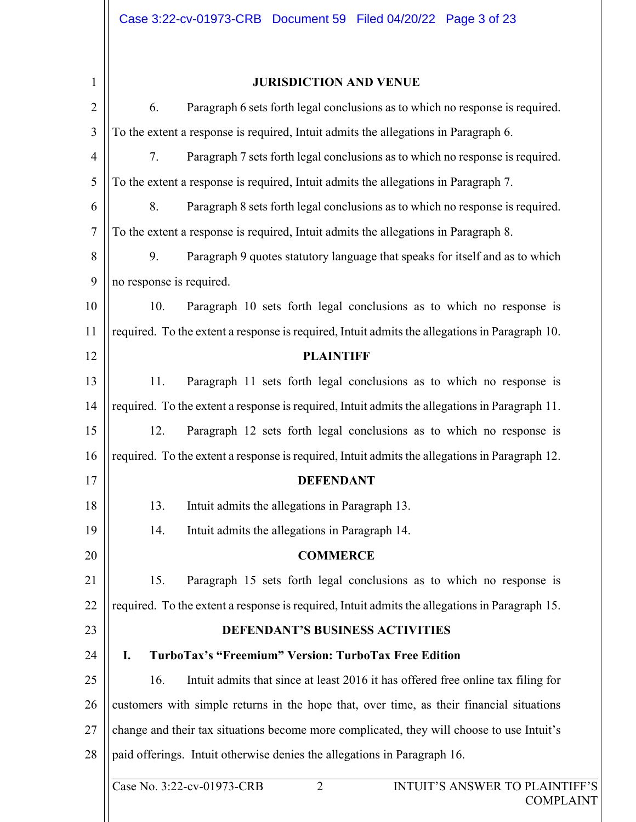| $\mathbf{1}$    |
|-----------------|
| $\overline{2}$  |
| 3               |
| 4               |
| 5               |
| 6               |
| 7               |
| 8               |
| 9               |
| 10              |
| 11              |
| 12              |
| 13              |
| $\overline{14}$ |
| 15              |
| 16              |
| 17              |
|                 |

## **JURISDICTION AND VENUE**

| $\overline{2}$ | Paragraph 6 sets forth legal conclusions as to which no response is required.<br>6.                       |  |  |  |
|----------------|-----------------------------------------------------------------------------------------------------------|--|--|--|
| 3              | To the extent a response is required, Intuit admits the allegations in Paragraph 6.                       |  |  |  |
| $\overline{4}$ | Paragraph 7 sets forth legal conclusions as to which no response is required.<br>7.                       |  |  |  |
| 5              | To the extent a response is required, Intuit admits the allegations in Paragraph 7.                       |  |  |  |
| 6              | Paragraph 8 sets forth legal conclusions as to which no response is required.<br>8.                       |  |  |  |
| $\overline{7}$ | To the extent a response is required, Intuit admits the allegations in Paragraph 8.                       |  |  |  |
| 8              | Paragraph 9 quotes statutory language that speaks for itself and as to which<br>9.                        |  |  |  |
| 9              | no response is required.                                                                                  |  |  |  |
| 10             | Paragraph 10 sets forth legal conclusions as to which no response is<br>10.                               |  |  |  |
| 11             | required. To the extent a response is required, Intuit admits the allegations in Paragraph 10.            |  |  |  |
| 12             | <b>PLAINTIFF</b>                                                                                          |  |  |  |
| 13             | Paragraph 11 sets forth legal conclusions as to which no response is<br>11.                               |  |  |  |
| 14             | required. To the extent a response is required, Intuit admits the allegations in Paragraph 11.            |  |  |  |
| 15             | Paragraph 12 sets forth legal conclusions as to which no response is<br>12.                               |  |  |  |
| 16             | required. To the extent a response is required, Intuit admits the allegations in Paragraph 12.            |  |  |  |
| 17             | <b>DEFENDANT</b>                                                                                          |  |  |  |
| 18             | Intuit admits the allegations in Paragraph 13.<br>13.                                                     |  |  |  |
| 19             | Intuit admits the allegations in Paragraph 14.<br>14.                                                     |  |  |  |
| 20             | <b>COMMERCE</b>                                                                                           |  |  |  |
| 21             | 15.<br>Paragraph 15 sets forth legal conclusions as to which no response is                               |  |  |  |
| 22             | required. To the extent a response is required, Intuit admits the allegations in Paragraph 15.            |  |  |  |
| 23             | <b>DEFENDANT'S BUSINESS ACTIVITIES</b>                                                                    |  |  |  |
| 24             | TurboTax's "Freemium" Version: TurboTax Free Edition<br>I.                                                |  |  |  |
| 25             | Intuit admits that since at least 2016 it has offered free online tax filing for<br>16.                   |  |  |  |
| 26             | customers with simple returns in the hope that, over time, as their financial situations                  |  |  |  |
| 27             | change and their tax situations become more complicated, they will choose to use Intuit's                 |  |  |  |
| 28             | paid offerings. Intuit otherwise denies the allegations in Paragraph 16.                                  |  |  |  |
|                | Case No. 3:22-cv-01973-CRB<br>$\overline{2}$<br><b>INTUIT'S ANSWER TO PLAINTIFF'S</b><br><b>COMPLAINT</b> |  |  |  |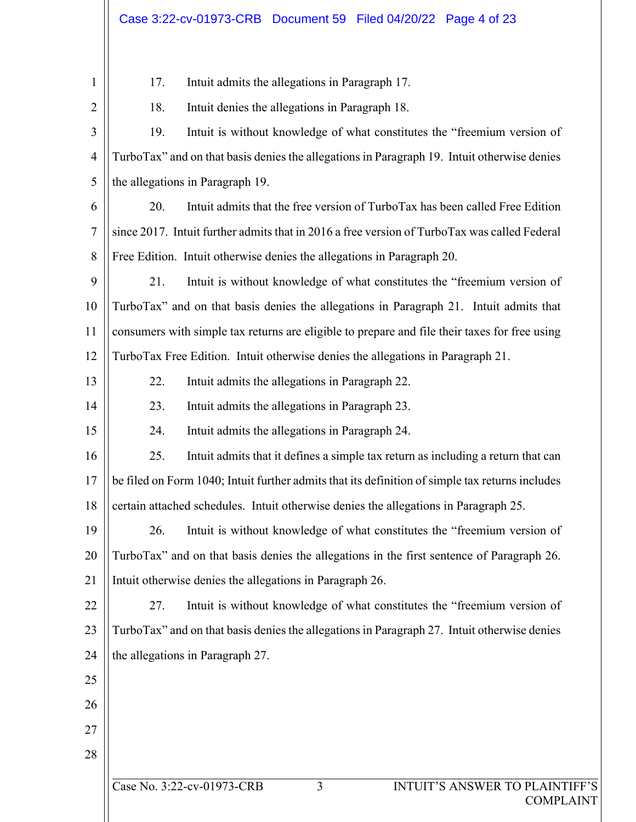| $\mathbf{1}$   | 17.                                                                                             | Intuit admits the allegations in Paragraph 17.                                              |  |  |  |  |
|----------------|-------------------------------------------------------------------------------------------------|---------------------------------------------------------------------------------------------|--|--|--|--|
| $\overline{2}$ | 18.<br>Intuit denies the allegations in Paragraph 18.                                           |                                                                                             |  |  |  |  |
| 3              | 19.                                                                                             | Intuit is without knowledge of what constitutes the "freemium version of                    |  |  |  |  |
| $\overline{4}$ | TurboTax" and on that basis denies the allegations in Paragraph 19. Intuit otherwise denies     |                                                                                             |  |  |  |  |
| 5              | the allegations in Paragraph 19.                                                                |                                                                                             |  |  |  |  |
| 6              | 20.                                                                                             | Intuit admits that the free version of TurboTax has been called Free Edition                |  |  |  |  |
| 7              | since 2017. Intuit further admits that in 2016 a free version of TurboTax was called Federal    |                                                                                             |  |  |  |  |
| 8              | Free Edition. Intuit otherwise denies the allegations in Paragraph 20.                          |                                                                                             |  |  |  |  |
| 9              | 21.                                                                                             | Intuit is without knowledge of what constitutes the "freemium version of                    |  |  |  |  |
| 10             | TurboTax" and on that basis denies the allegations in Paragraph 21. Intuit admits that          |                                                                                             |  |  |  |  |
| 11             | consumers with simple tax returns are eligible to prepare and file their taxes for free using   |                                                                                             |  |  |  |  |
| 12             | TurboTax Free Edition. Intuit otherwise denies the allegations in Paragraph 21.                 |                                                                                             |  |  |  |  |
| 13             | 22.                                                                                             | Intuit admits the allegations in Paragraph 22.                                              |  |  |  |  |
| 14             | 23.                                                                                             | Intuit admits the allegations in Paragraph 23.                                              |  |  |  |  |
| 15             | 24.                                                                                             | Intuit admits the allegations in Paragraph 24.                                              |  |  |  |  |
| 16             | 25.                                                                                             | Intuit admits that it defines a simple tax return as including a return that can            |  |  |  |  |
| 17             | be filed on Form 1040; Intuit further admits that its definition of simple tax returns includes |                                                                                             |  |  |  |  |
| 18             |                                                                                                 | certain attached schedules. Intuit otherwise denies the allegations in Paragraph 25.        |  |  |  |  |
| 19             | 26.                                                                                             | Intuit is without knowledge of what constitutes the "freemium version of                    |  |  |  |  |
| 20             | TurboTax" and on that basis denies the allegations in the first sentence of Paragraph 26.       |                                                                                             |  |  |  |  |
| 21             | Intuit otherwise denies the allegations in Paragraph 26.                                        |                                                                                             |  |  |  |  |
| 22             | 27.                                                                                             | Intuit is without knowledge of what constitutes the "freemium version of                    |  |  |  |  |
| 23             |                                                                                                 | TurboTax" and on that basis denies the allegations in Paragraph 27. Intuit otherwise denies |  |  |  |  |
| 24             | the allegations in Paragraph 27.                                                                |                                                                                             |  |  |  |  |
| 25             |                                                                                                 |                                                                                             |  |  |  |  |
| 26             |                                                                                                 |                                                                                             |  |  |  |  |
| 27             |                                                                                                 |                                                                                             |  |  |  |  |
| 28             |                                                                                                 |                                                                                             |  |  |  |  |
|                |                                                                                                 | Case No. 3:22-cv-01973-CRB<br>3<br>INTUIT'S ANSWER TO PLAINTIFF'S<br><b>COMPLAINT</b>       |  |  |  |  |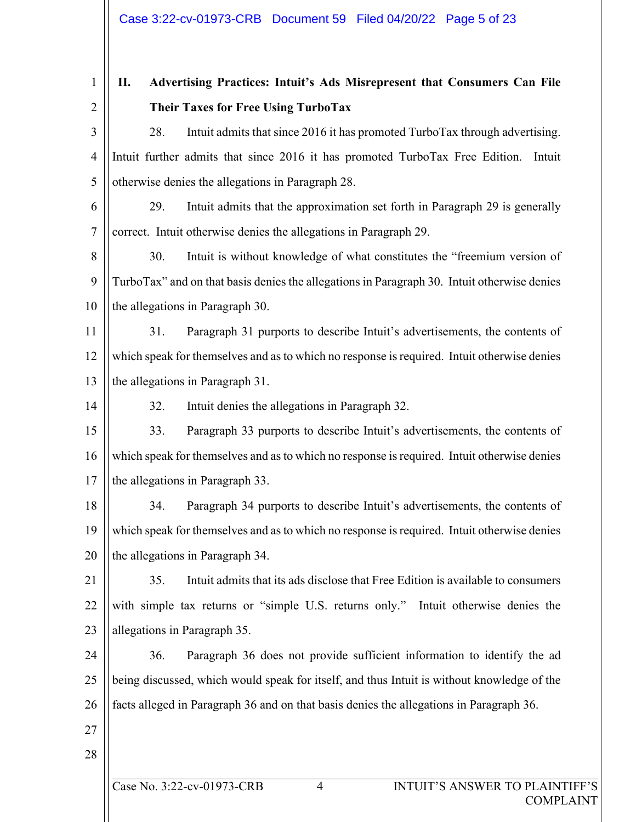1 2

# **II. Advertising Practices: Intuit's Ads Misrepresent that Consumers Can File Their Taxes for Free Using TurboTax**

3 4 5 28. Intuit admits that since 2016 it has promoted TurboTax through advertising. Intuit further admits that since 2016 it has promoted TurboTax Free Edition. Intuit otherwise denies the allegations in Paragraph 28.

6 7 29. Intuit admits that the approximation set forth in Paragraph 29 is generally correct. Intuit otherwise denies the allegations in Paragraph 29.

8 9 10 30. Intuit is without knowledge of what constitutes the "freemium version of TurboTax" and on that basis denies the allegations in Paragraph 30. Intuit otherwise denies the allegations in Paragraph 30.

11 12 13 31. Paragraph 31 purports to describe Intuit's advertisements, the contents of which speak for themselves and as to which no response is required. Intuit otherwise denies the allegations in Paragraph 31.

14

32. Intuit denies the allegations in Paragraph 32.

15 16 17 33. Paragraph 33 purports to describe Intuit's advertisements, the contents of which speak for themselves and as to which no response is required. Intuit otherwise denies the allegations in Paragraph 33.

18 19 20 34. Paragraph 34 purports to describe Intuit's advertisements, the contents of which speak for themselves and as to which no response is required. Intuit otherwise denies the allegations in Paragraph 34.

21 22 23 35. Intuit admits that its ads disclose that Free Edition is available to consumers with simple tax returns or "simple U.S. returns only." Intuit otherwise denies the allegations in Paragraph 35.

24 25 26 36. Paragraph 36 does not provide sufficient information to identify the ad being discussed, which would speak for itself, and thus Intuit is without knowledge of the facts alleged in Paragraph 36 and on that basis denies the allegations in Paragraph 36.

- 27
- 28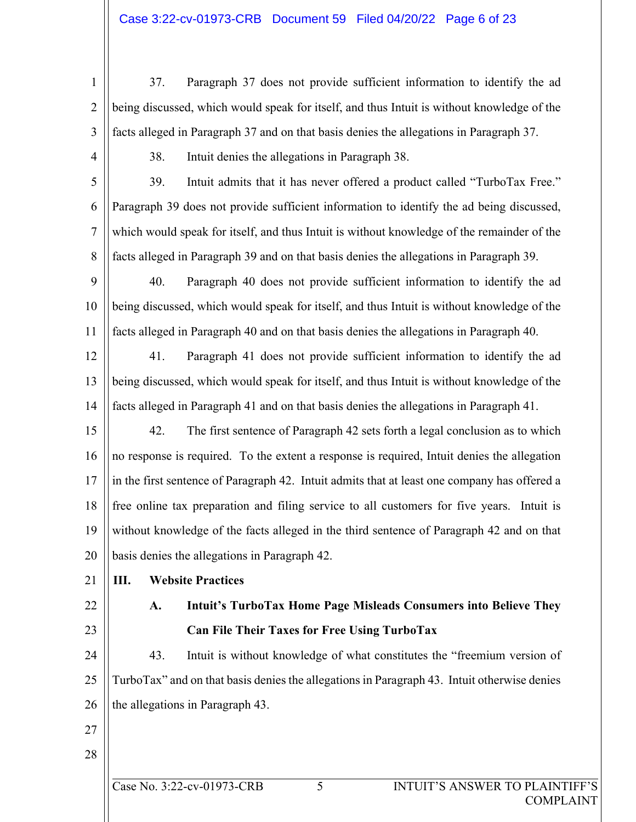- 1 2 3 37. Paragraph 37 does not provide sufficient information to identify the ad being discussed, which would speak for itself, and thus Intuit is without knowledge of the facts alleged in Paragraph 37 and on that basis denies the allegations in Paragraph 37.
- 4

38. Intuit denies the allegations in Paragraph 38.

- 5 6 7 8 39. Intuit admits that it has never offered a product called "TurboTax Free." Paragraph 39 does not provide sufficient information to identify the ad being discussed, which would speak for itself, and thus Intuit is without knowledge of the remainder of the facts alleged in Paragraph 39 and on that basis denies the allegations in Paragraph 39.
- 9 10 11 40. Paragraph 40 does not provide sufficient information to identify the ad being discussed, which would speak for itself, and thus Intuit is without knowledge of the facts alleged in Paragraph 40 and on that basis denies the allegations in Paragraph 40.
- 12 13 14 41. Paragraph 41 does not provide sufficient information to identify the ad being discussed, which would speak for itself, and thus Intuit is without knowledge of the facts alleged in Paragraph 41 and on that basis denies the allegations in Paragraph 41.
- 15 16 17 18 19 20 42. The first sentence of Paragraph 42 sets forth a legal conclusion as to which no response is required. To the extent a response is required, Intuit denies the allegation in the first sentence of Paragraph 42. Intuit admits that at least one company has offered a free online tax preparation and filing service to all customers for five years. Intuit is without knowledge of the facts alleged in the third sentence of Paragraph 42 and on that basis denies the allegations in Paragraph 42.
- 21

## **III. Website Practices**

- 22
- 23

# **A. Intuit's TurboTax Home Page Misleads Consumers into Believe They Can File Their Taxes for Free Using TurboTax**

- 24 25 26 43. Intuit is without knowledge of what constitutes the "freemium version of TurboTax" and on that basis denies the allegations in Paragraph 43. Intuit otherwise denies the allegations in Paragraph 43.
- 27
- 28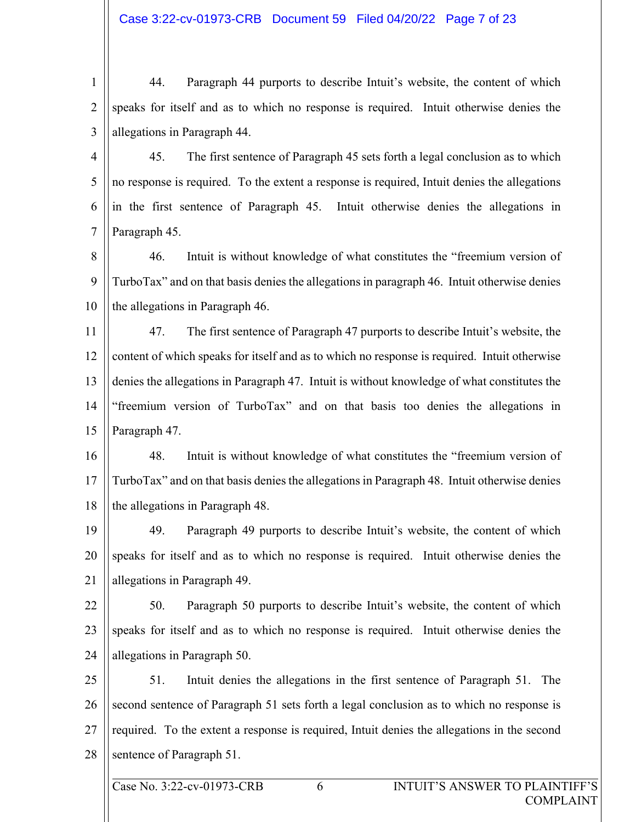1 2 3 44. Paragraph 44 purports to describe Intuit's website, the content of which speaks for itself and as to which no response is required. Intuit otherwise denies the allegations in Paragraph 44.

4 5 6 7 45. The first sentence of Paragraph 45 sets forth a legal conclusion as to which no response is required. To the extent a response is required, Intuit denies the allegations in the first sentence of Paragraph 45. Intuit otherwise denies the allegations in Paragraph 45.

8 9 10 46. Intuit is without knowledge of what constitutes the "freemium version of TurboTax" and on that basis denies the allegations in paragraph 46. Intuit otherwise denies the allegations in Paragraph 46.

11 12 13 14 15 47. The first sentence of Paragraph 47 purports to describe Intuit's website, the content of which speaks for itself and as to which no response is required. Intuit otherwise denies the allegations in Paragraph 47. Intuit is without knowledge of what constitutes the "freemium version of TurboTax" and on that basis too denies the allegations in Paragraph 47.

16 17 18 48. Intuit is without knowledge of what constitutes the "freemium version of TurboTax" and on that basis denies the allegations in Paragraph 48. Intuit otherwise denies the allegations in Paragraph 48.

19 20 21 49. Paragraph 49 purports to describe Intuit's website, the content of which speaks for itself and as to which no response is required. Intuit otherwise denies the allegations in Paragraph 49.

22 23 24 50. Paragraph 50 purports to describe Intuit's website, the content of which speaks for itself and as to which no response is required. Intuit otherwise denies the allegations in Paragraph 50.

25 26 27 28 51. Intuit denies the allegations in the first sentence of Paragraph 51. The second sentence of Paragraph 51 sets forth a legal conclusion as to which no response is required. To the extent a response is required, Intuit denies the allegations in the second sentence of Paragraph 51.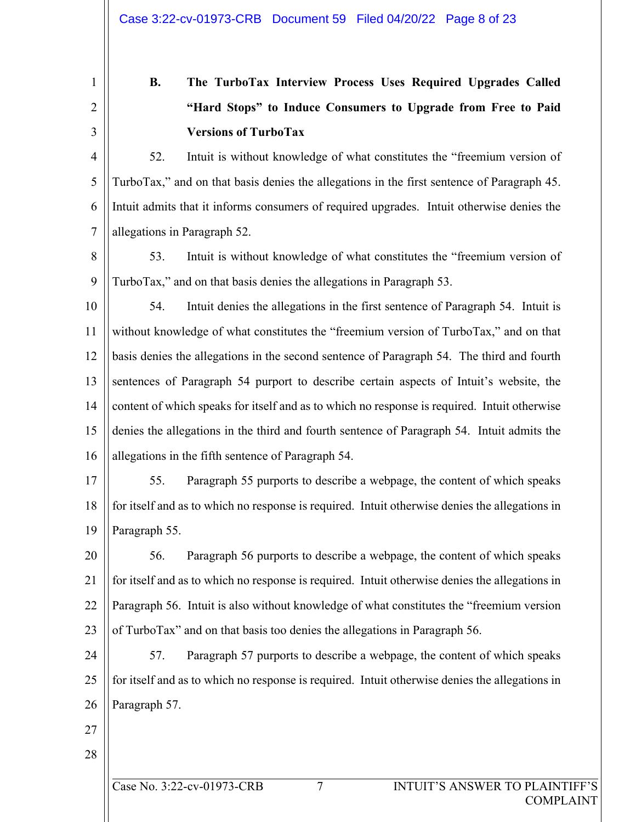2

3

1

# **B. The TurboTax Interview Process Uses Required Upgrades Called "Hard Stops" to Induce Consumers to Upgrade from Free to Paid Versions of TurboTax**

4 5 6 7 52. Intuit is without knowledge of what constitutes the "freemium version of TurboTax," and on that basis denies the allegations in the first sentence of Paragraph 45. Intuit admits that it informs consumers of required upgrades. Intuit otherwise denies the allegations in Paragraph 52.

8 9 53. Intuit is without knowledge of what constitutes the "freemium version of TurboTax," and on that basis denies the allegations in Paragraph 53.

10 11 12 13 14 15 16 54. Intuit denies the allegations in the first sentence of Paragraph 54. Intuit is without knowledge of what constitutes the "freemium version of TurboTax," and on that basis denies the allegations in the second sentence of Paragraph 54. The third and fourth sentences of Paragraph 54 purport to describe certain aspects of Intuit's website, the content of which speaks for itself and as to which no response is required. Intuit otherwise denies the allegations in the third and fourth sentence of Paragraph 54. Intuit admits the allegations in the fifth sentence of Paragraph 54.

17 18 19 55. Paragraph 55 purports to describe a webpage, the content of which speaks for itself and as to which no response is required. Intuit otherwise denies the allegations in Paragraph 55.

20 21 22 23 56. Paragraph 56 purports to describe a webpage, the content of which speaks for itself and as to which no response is required. Intuit otherwise denies the allegations in Paragraph 56. Intuit is also without knowledge of what constitutes the "freemium version of TurboTax" and on that basis too denies the allegations in Paragraph 56.

24 25 26 57. Paragraph 57 purports to describe a webpage, the content of which speaks for itself and as to which no response is required. Intuit otherwise denies the allegations in Paragraph 57.

27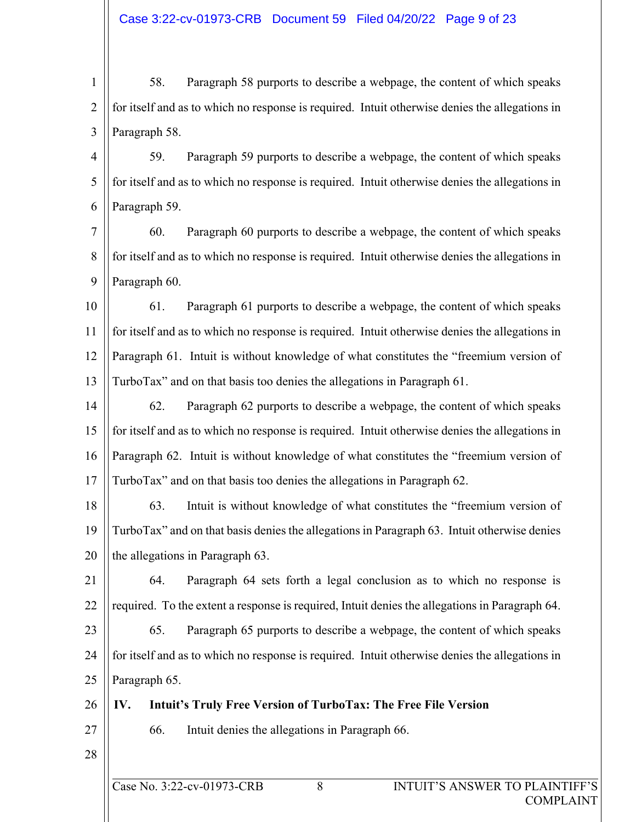1 2 3 58. Paragraph 58 purports to describe a webpage, the content of which speaks for itself and as to which no response is required. Intuit otherwise denies the allegations in Paragraph 58.

4 5 6 59. Paragraph 59 purports to describe a webpage, the content of which speaks for itself and as to which no response is required. Intuit otherwise denies the allegations in Paragraph 59.

7 8 9 60. Paragraph 60 purports to describe a webpage, the content of which speaks for itself and as to which no response is required. Intuit otherwise denies the allegations in Paragraph 60.

10 11 12 13 61. Paragraph 61 purports to describe a webpage, the content of which speaks for itself and as to which no response is required. Intuit otherwise denies the allegations in Paragraph 61. Intuit is without knowledge of what constitutes the "freemium version of TurboTax" and on that basis too denies the allegations in Paragraph 61.

14 15 16 17 62. Paragraph 62 purports to describe a webpage, the content of which speaks for itself and as to which no response is required. Intuit otherwise denies the allegations in Paragraph 62. Intuit is without knowledge of what constitutes the "freemium version of TurboTax" and on that basis too denies the allegations in Paragraph 62.

18 19 20 63. Intuit is without knowledge of what constitutes the "freemium version of TurboTax" and on that basis denies the allegations in Paragraph 63. Intuit otherwise denies the allegations in Paragraph 63.

21 22 23 64. Paragraph 64 sets forth a legal conclusion as to which no response is required. To the extent a response is required, Intuit denies the allegations in Paragraph 64.

24 25 65. Paragraph 65 purports to describe a webpage, the content of which speaks for itself and as to which no response is required. Intuit otherwise denies the allegations in Paragraph 65.

- 26 **IV. Intuit's Truly Free Version of TurboTax: The Free File Version**
- 27

66. Intuit denies the allegations in Paragraph 66.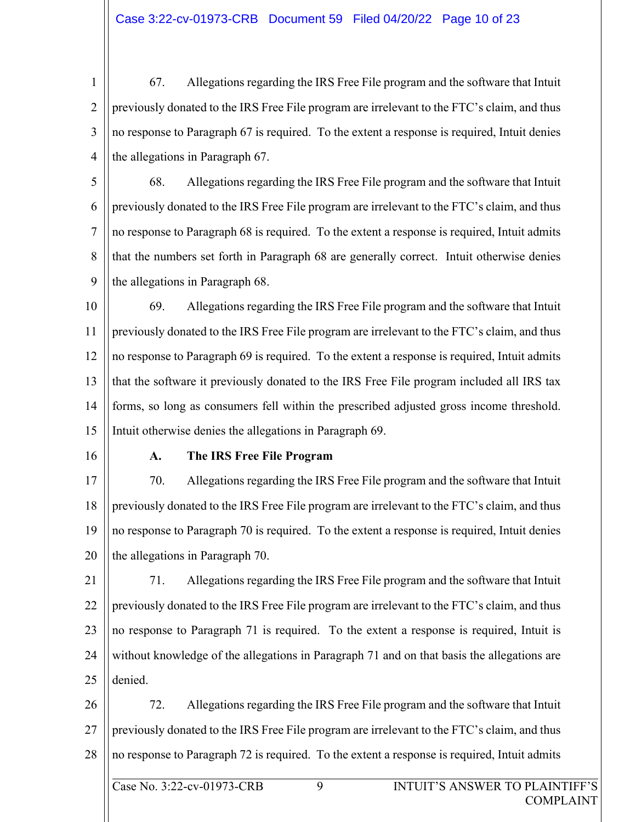1 2 3 4 67. Allegations regarding the IRS Free File program and the software that Intuit previously donated to the IRS Free File program are irrelevant to the FTC's claim, and thus no response to Paragraph 67 is required. To the extent a response is required, Intuit denies the allegations in Paragraph 67.

5 6 7 8 9 68. Allegations regarding the IRS Free File program and the software that Intuit previously donated to the IRS Free File program are irrelevant to the FTC's claim, and thus no response to Paragraph 68 is required. To the extent a response is required, Intuit admits that the numbers set forth in Paragraph 68 are generally correct. Intuit otherwise denies the allegations in Paragraph 68.

10 11 12 13 14 15 69. Allegations regarding the IRS Free File program and the software that Intuit previously donated to the IRS Free File program are irrelevant to the FTC's claim, and thus no response to Paragraph 69 is required. To the extent a response is required, Intuit admits that the software it previously donated to the IRS Free File program included all IRS tax forms, so long as consumers fell within the prescribed adjusted gross income threshold. Intuit otherwise denies the allegations in Paragraph 69.

16

#### **A. The IRS Free File Program**

17 18 19 20 70. Allegations regarding the IRS Free File program and the software that Intuit previously donated to the IRS Free File program are irrelevant to the FTC's claim, and thus no response to Paragraph 70 is required. To the extent a response is required, Intuit denies the allegations in Paragraph 70.

- 21 22 23 24 25 71. Allegations regarding the IRS Free File program and the software that Intuit previously donated to the IRS Free File program are irrelevant to the FTC's claim, and thus no response to Paragraph 71 is required. To the extent a response is required, Intuit is without knowledge of the allegations in Paragraph 71 and on that basis the allegations are denied.
- 26 27 28 72. Allegations regarding the IRS Free File program and the software that Intuit previously donated to the IRS Free File program are irrelevant to the FTC's claim, and thus no response to Paragraph 72 is required. To the extent a response is required, Intuit admits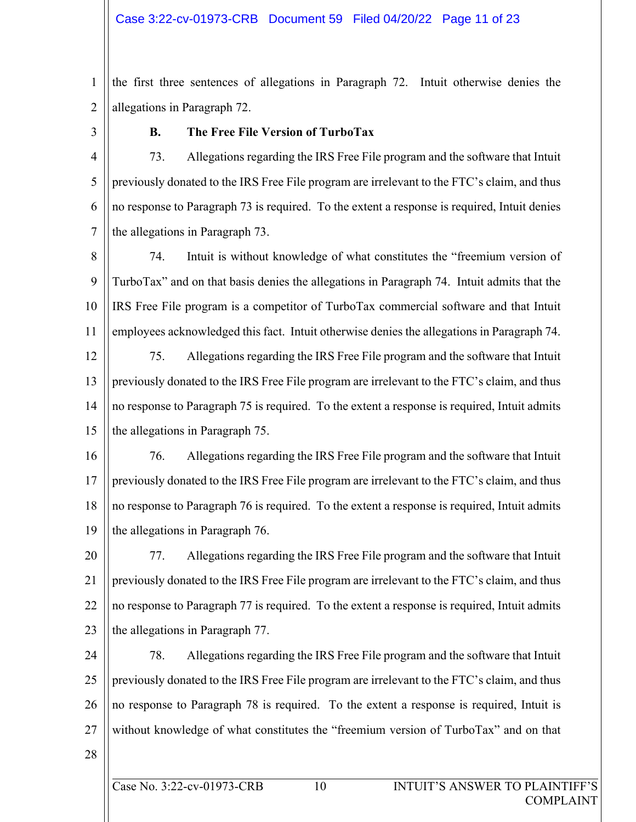1 2 the first three sentences of allegations in Paragraph 72. Intuit otherwise denies the allegations in Paragraph 72.

3

### **B. The Free File Version of TurboTax**

4 5 6 7 73. Allegations regarding the IRS Free File program and the software that Intuit previously donated to the IRS Free File program are irrelevant to the FTC's claim, and thus no response to Paragraph 73 is required. To the extent a response is required, Intuit denies the allegations in Paragraph 73.

8 9 10 11 74. Intuit is without knowledge of what constitutes the "freemium version of TurboTax" and on that basis denies the allegations in Paragraph 74. Intuit admits that the IRS Free File program is a competitor of TurboTax commercial software and that Intuit employees acknowledged this fact. Intuit otherwise denies the allegations in Paragraph 74.

12 13 14 15 75. Allegations regarding the IRS Free File program and the software that Intuit previously donated to the IRS Free File program are irrelevant to the FTC's claim, and thus no response to Paragraph 75 is required. To the extent a response is required, Intuit admits the allegations in Paragraph 75.

16 17 18 19 76. Allegations regarding the IRS Free File program and the software that Intuit previously donated to the IRS Free File program are irrelevant to the FTC's claim, and thus no response to Paragraph 76 is required. To the extent a response is required, Intuit admits the allegations in Paragraph 76.

20 21 22 23 77. Allegations regarding the IRS Free File program and the software that Intuit previously donated to the IRS Free File program are irrelevant to the FTC's claim, and thus no response to Paragraph 77 is required. To the extent a response is required, Intuit admits the allegations in Paragraph 77.

24 25 26 27 78. Allegations regarding the IRS Free File program and the software that Intuit previously donated to the IRS Free File program are irrelevant to the FTC's claim, and thus no response to Paragraph 78 is required. To the extent a response is required, Intuit is without knowledge of what constitutes the "freemium version of TurboTax" and on that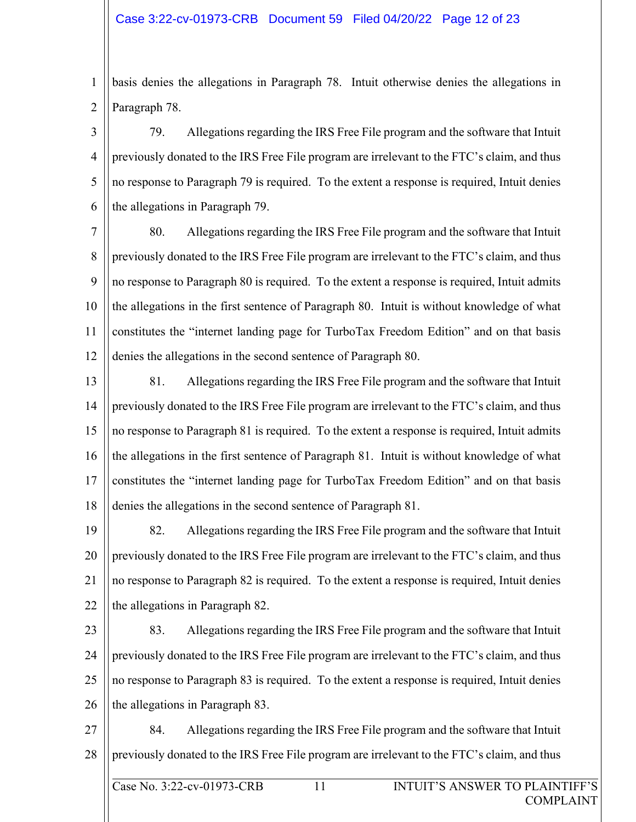1 2 basis denies the allegations in Paragraph 78. Intuit otherwise denies the allegations in Paragraph 78.

3 4 5 6 79. Allegations regarding the IRS Free File program and the software that Intuit previously donated to the IRS Free File program are irrelevant to the FTC's claim, and thus no response to Paragraph 79 is required. To the extent a response is required, Intuit denies the allegations in Paragraph 79.

7 8 9 10 11 12 80. Allegations regarding the IRS Free File program and the software that Intuit previously donated to the IRS Free File program are irrelevant to the FTC's claim, and thus no response to Paragraph 80 is required. To the extent a response is required, Intuit admits the allegations in the first sentence of Paragraph 80. Intuit is without knowledge of what constitutes the "internet landing page for TurboTax Freedom Edition" and on that basis denies the allegations in the second sentence of Paragraph 80.

13

14 15 16 17 18 81. Allegations regarding the IRS Free File program and the software that Intuit previously donated to the IRS Free File program are irrelevant to the FTC's claim, and thus no response to Paragraph 81 is required. To the extent a response is required, Intuit admits the allegations in the first sentence of Paragraph 81. Intuit is without knowledge of what constitutes the "internet landing page for TurboTax Freedom Edition" and on that basis denies the allegations in the second sentence of Paragraph 81.

19 20 21 22 82. Allegations regarding the IRS Free File program and the software that Intuit previously donated to the IRS Free File program are irrelevant to the FTC's claim, and thus no response to Paragraph 82 is required. To the extent a response is required, Intuit denies the allegations in Paragraph 82.

23

24

25

26

83. Allegations regarding the IRS Free File program and the software that Intuit previously donated to the IRS Free File program are irrelevant to the FTC's claim, and thus no response to Paragraph 83 is required. To the extent a response is required, Intuit denies the allegations in Paragraph 83.

27 28 84. Allegations regarding the IRS Free File program and the software that Intuit previously donated to the IRS Free File program are irrelevant to the FTC's claim, and thus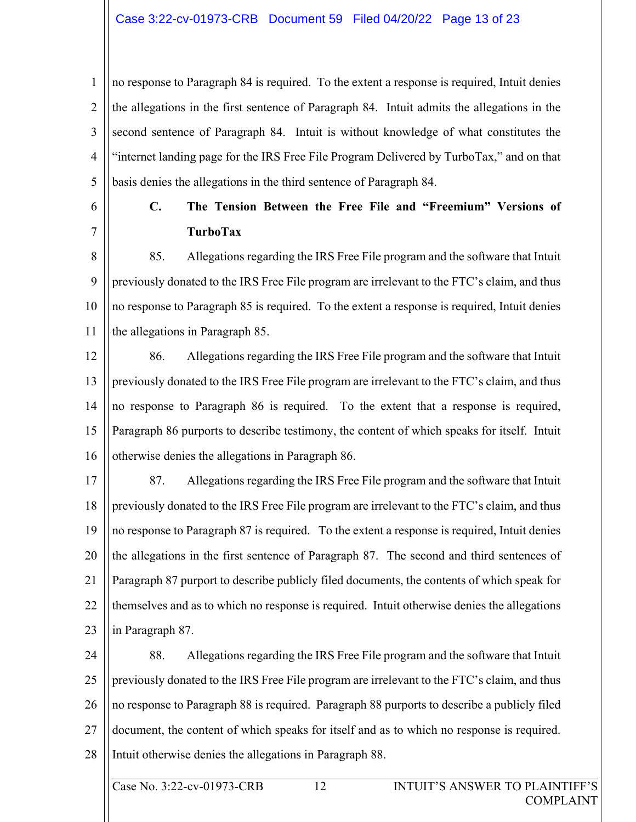#### Case 3:22-cv-01973-CRB Document 59 Filed 04/20/22 Page 13 of 23

1 2 3 4 5 no response to Paragraph 84 is required. To the extent a response is required, Intuit denies the allegations in the first sentence of Paragraph 84. Intuit admits the allegations in the second sentence of Paragraph 84. Intuit is without knowledge of what constitutes the "internet landing page for the IRS Free File Program Delivered by TurboTax," and on that basis denies the allegations in the third sentence of Paragraph 84.

6 7

# **C. The Tension Between the Free File and "Freemium" Versions of TurboTax**

8 9 10 11 85. Allegations regarding the IRS Free File program and the software that Intuit previously donated to the IRS Free File program are irrelevant to the FTC's claim, and thus no response to Paragraph 85 is required. To the extent a response is required, Intuit denies the allegations in Paragraph 85.

12 13 14 15 16 86. Allegations regarding the IRS Free File program and the software that Intuit previously donated to the IRS Free File program are irrelevant to the FTC's claim, and thus no response to Paragraph 86 is required. To the extent that a response is required, Paragraph 86 purports to describe testimony, the content of which speaks for itself. Intuit otherwise denies the allegations in Paragraph 86.

17 18 19 20 21 22 23 87. Allegations regarding the IRS Free File program and the software that Intuit previously donated to the IRS Free File program are irrelevant to the FTC's claim, and thus no response to Paragraph 87 is required. To the extent a response is required, Intuit denies the allegations in the first sentence of Paragraph 87. The second and third sentences of Paragraph 87 purport to describe publicly filed documents, the contents of which speak for themselves and as to which no response is required. Intuit otherwise denies the allegations in Paragraph 87.

24 25 26 27 28 88. Allegations regarding the IRS Free File program and the software that Intuit previously donated to the IRS Free File program are irrelevant to the FTC's claim, and thus no response to Paragraph 88 is required. Paragraph 88 purports to describe a publicly filed document, the content of which speaks for itself and as to which no response is required. Intuit otherwise denies the allegations in Paragraph 88.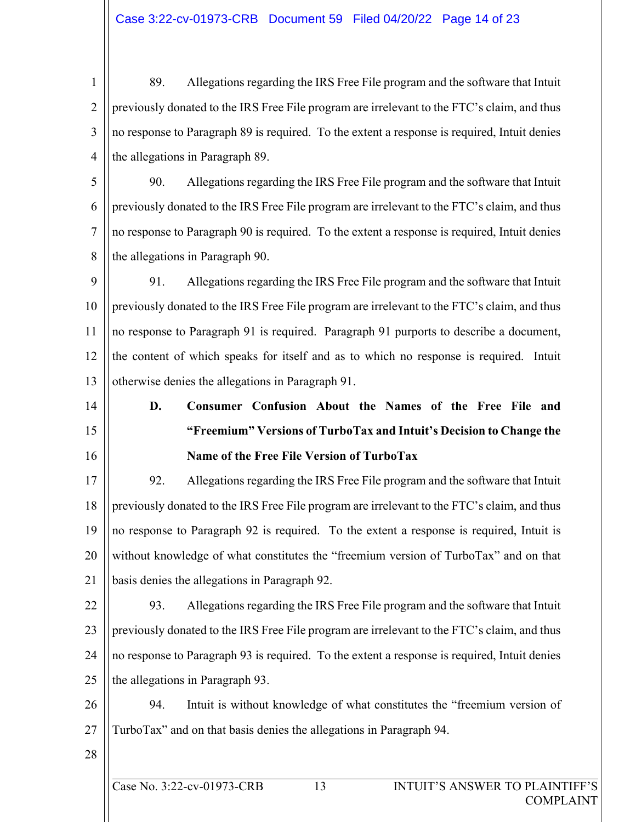1 2 3 4 89. Allegations regarding the IRS Free File program and the software that Intuit previously donated to the IRS Free File program are irrelevant to the FTC's claim, and thus no response to Paragraph 89 is required. To the extent a response is required, Intuit denies the allegations in Paragraph 89.

5 6 7 8 90. Allegations regarding the IRS Free File program and the software that Intuit previously donated to the IRS Free File program are irrelevant to the FTC's claim, and thus no response to Paragraph 90 is required. To the extent a response is required, Intuit denies the allegations in Paragraph 90.

9 10 11 12 13 91. Allegations regarding the IRS Free File program and the software that Intuit previously donated to the IRS Free File program are irrelevant to the FTC's claim, and thus no response to Paragraph 91 is required. Paragraph 91 purports to describe a document, the content of which speaks for itself and as to which no response is required. Intuit otherwise denies the allegations in Paragraph 91.

**D. Consumer Confusion About the Names of the Free File and "Freemium" Versions of TurboTax and Intuit's Decision to Change the Name of the Free File Version of TurboTax** 

17 18 19 20 21 92. Allegations regarding the IRS Free File program and the software that Intuit previously donated to the IRS Free File program are irrelevant to the FTC's claim, and thus no response to Paragraph 92 is required. To the extent a response is required, Intuit is without knowledge of what constitutes the "freemium version of TurboTax" and on that basis denies the allegations in Paragraph 92.

22 23 24 25 93. Allegations regarding the IRS Free File program and the software that Intuit previously donated to the IRS Free File program are irrelevant to the FTC's claim, and thus no response to Paragraph 93 is required. To the extent a response is required, Intuit denies the allegations in Paragraph 93.

26 27 94. Intuit is without knowledge of what constitutes the "freemium version of TurboTax" and on that basis denies the allegations in Paragraph 94.

28

14

15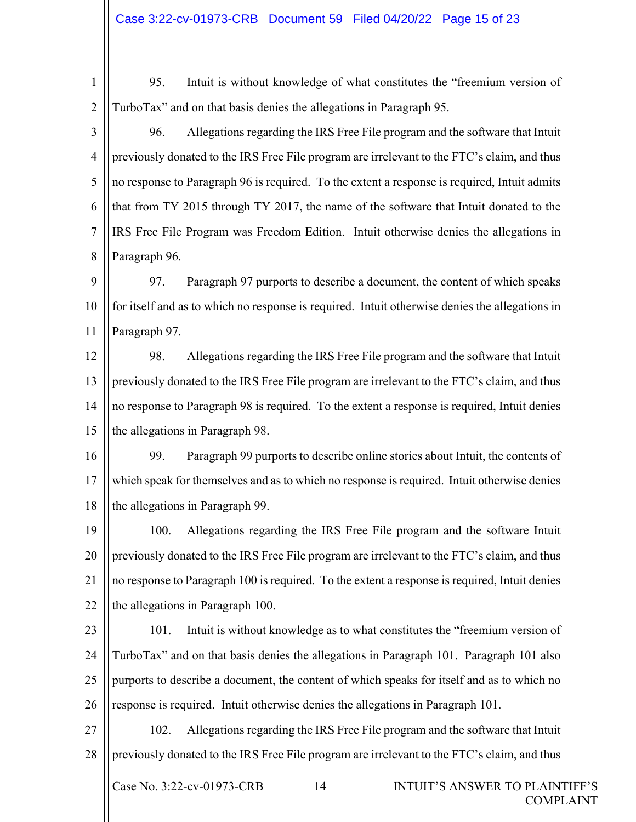1 2 95. Intuit is without knowledge of what constitutes the "freemium version of TurboTax" and on that basis denies the allegations in Paragraph 95.

3 4 5 6 7 8 96. Allegations regarding the IRS Free File program and the software that Intuit previously donated to the IRS Free File program are irrelevant to the FTC's claim, and thus no response to Paragraph 96 is required. To the extent a response is required, Intuit admits that from TY 2015 through TY 2017, the name of the software that Intuit donated to the IRS Free File Program was Freedom Edition. Intuit otherwise denies the allegations in Paragraph 96.

9 10 11 97. Paragraph 97 purports to describe a document, the content of which speaks for itself and as to which no response is required. Intuit otherwise denies the allegations in Paragraph 97.

12 13 14 15 98. Allegations regarding the IRS Free File program and the software that Intuit previously donated to the IRS Free File program are irrelevant to the FTC's claim, and thus no response to Paragraph 98 is required. To the extent a response is required, Intuit denies the allegations in Paragraph 98.

16 17 18 99. Paragraph 99 purports to describe online stories about Intuit, the contents of which speak for themselves and as to which no response is required. Intuit otherwise denies the allegations in Paragraph 99.

19 20 21 22 100. Allegations regarding the IRS Free File program and the software Intuit previously donated to the IRS Free File program are irrelevant to the FTC's claim, and thus no response to Paragraph 100 is required. To the extent a response is required, Intuit denies the allegations in Paragraph 100.

23 24 25 26 101. Intuit is without knowledge as to what constitutes the "freemium version of TurboTax" and on that basis denies the allegations in Paragraph 101. Paragraph 101 also purports to describe a document, the content of which speaks for itself and as to which no response is required. Intuit otherwise denies the allegations in Paragraph 101.

27 28 102. Allegations regarding the IRS Free File program and the software that Intuit previously donated to the IRS Free File program are irrelevant to the FTC's claim, and thus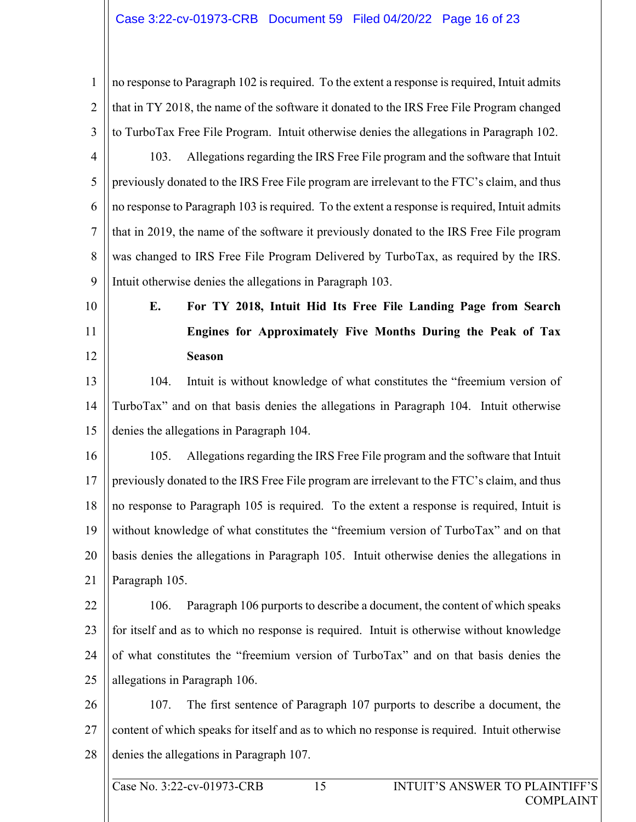#### Case 3:22-cv-01973-CRB Document 59 Filed 04/20/22 Page 16 of 23

1 2 3 4 no response to Paragraph 102 is required. To the extent a response is required, Intuit admits that in TY 2018, the name of the software it donated to the IRS Free File Program changed to TurboTax Free File Program. Intuit otherwise denies the allegations in Paragraph 102. 103. Allegations regarding the IRS Free File program and the software that Intuit

5 6 7 8 9 previously donated to the IRS Free File program are irrelevant to the FTC's claim, and thus no response to Paragraph 103 is required. To the extent a response is required, Intuit admits that in 2019, the name of the software it previously donated to the IRS Free File program was changed to IRS Free File Program Delivered by TurboTax, as required by the IRS. Intuit otherwise denies the allegations in Paragraph 103.

- 10
- 11

12

**E. For TY 2018, Intuit Hid Its Free File Landing Page from Search Engines for Approximately Five Months During the Peak of Tax Season** 

13 14 15 104. Intuit is without knowledge of what constitutes the "freemium version of TurboTax" and on that basis denies the allegations in Paragraph 104. Intuit otherwise denies the allegations in Paragraph 104.

16 17 18 19 20 21 105. Allegations regarding the IRS Free File program and the software that Intuit previously donated to the IRS Free File program are irrelevant to the FTC's claim, and thus no response to Paragraph 105 is required. To the extent a response is required, Intuit is without knowledge of what constitutes the "freemium version of TurboTax" and on that basis denies the allegations in Paragraph 105. Intuit otherwise denies the allegations in Paragraph 105.

22 23 24 25 106. Paragraph 106 purports to describe a document, the content of which speaks for itself and as to which no response is required. Intuit is otherwise without knowledge of what constitutes the "freemium version of TurboTax" and on that basis denies the allegations in Paragraph 106.

26 27 28 107. The first sentence of Paragraph 107 purports to describe a document, the content of which speaks for itself and as to which no response is required. Intuit otherwise denies the allegations in Paragraph 107.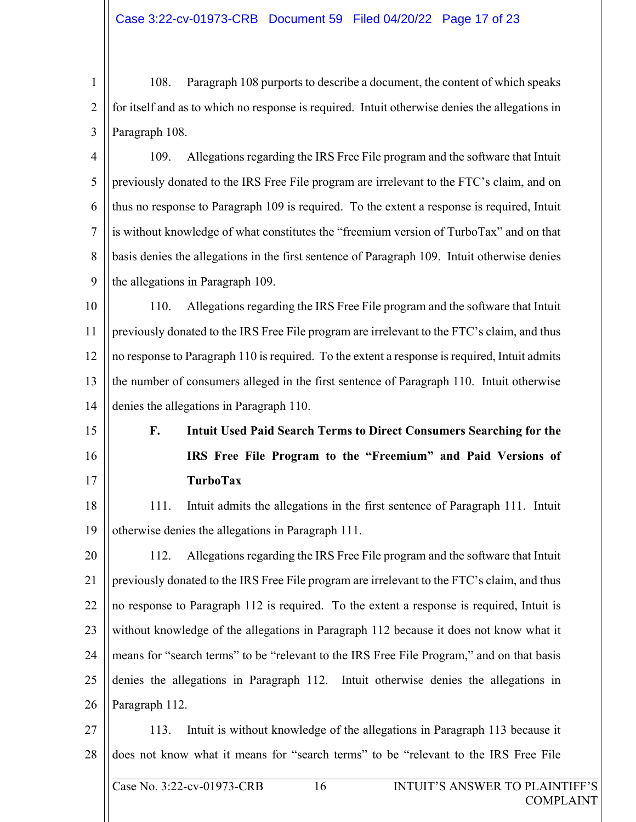1 2 3 108. Paragraph 108 purports to describe a document, the content of which speaks for itself and as to which no response is required. Intuit otherwise denies the allegations in Paragraph 108.

4 5 6 7 8 9 109. Allegations regarding the IRS Free File program and the software that Intuit previously donated to the IRS Free File program are irrelevant to the FTC's claim, and on thus no response to Paragraph 109 is required. To the extent a response is required, Intuit is without knowledge of what constitutes the "freemium version of TurboTax" and on that basis denies the allegations in the first sentence of Paragraph 109. Intuit otherwise denies the allegations in Paragraph 109.

10 11 12 13 14 110. Allegations regarding the IRS Free File program and the software that Intuit previously donated to the IRS Free File program are irrelevant to the FTC's claim, and thus no response to Paragraph 110 is required. To the extent a response is required, Intuit admits the number of consumers alleged in the first sentence of Paragraph 110. Intuit otherwise denies the allegations in Paragraph 110.

15

16

17

**F. Intuit Used Paid Search Terms to Direct Consumers Searching for the IRS Free File Program to the "Freemium" and Paid Versions of TurboTax** 

18 19 111. Intuit admits the allegations in the first sentence of Paragraph 111. Intuit otherwise denies the allegations in Paragraph 111.

20 21 22 23 24 25 26 112. Allegations regarding the IRS Free File program and the software that Intuit previously donated to the IRS Free File program are irrelevant to the FTC's claim, and thus no response to Paragraph 112 is required. To the extent a response is required, Intuit is without knowledge of the allegations in Paragraph 112 because it does not know what it means for "search terms" to be "relevant to the IRS Free File Program," and on that basis denies the allegations in Paragraph 112. Intuit otherwise denies the allegations in Paragraph 112.

27 28 113. Intuit is without knowledge of the allegations in Paragraph 113 because it does not know what it means for "search terms" to be "relevant to the IRS Free File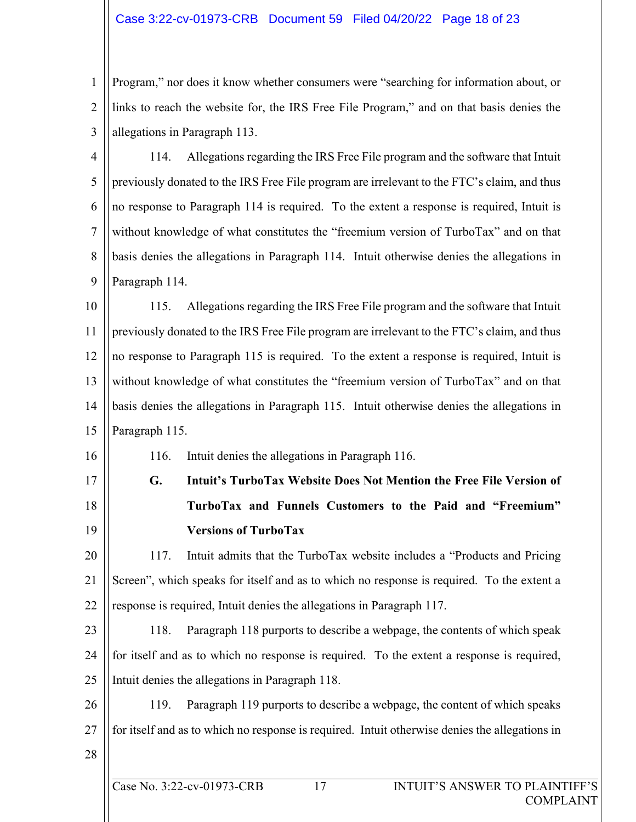#### Case 3:22-cv-01973-CRB Document 59 Filed 04/20/22 Page 18 of 23

1 2 3 Program," nor does it know whether consumers were "searching for information about, or links to reach the website for, the IRS Free File Program," and on that basis denies the allegations in Paragraph 113.

4 5 6 7 8 9 114. Allegations regarding the IRS Free File program and the software that Intuit previously donated to the IRS Free File program are irrelevant to the FTC's claim, and thus no response to Paragraph 114 is required. To the extent a response is required, Intuit is without knowledge of what constitutes the "freemium version of TurboTax" and on that basis denies the allegations in Paragraph 114. Intuit otherwise denies the allegations in Paragraph 114.

10 11 12 13 14 15 115. Allegations regarding the IRS Free File program and the software that Intuit previously donated to the IRS Free File program are irrelevant to the FTC's claim, and thus no response to Paragraph 115 is required. To the extent a response is required, Intuit is without knowledge of what constitutes the "freemium version of TurboTax" and on that basis denies the allegations in Paragraph 115. Intuit otherwise denies the allegations in Paragraph 115.

116. Intuit denies the allegations in Paragraph 116.

17

18

19

16

**G. Intuit's TurboTax Website Does Not Mention the Free File Version of TurboTax and Funnels Customers to the Paid and "Freemium" Versions of TurboTax** 

20 21 22 117. Intuit admits that the TurboTax website includes a "Products and Pricing Screen", which speaks for itself and as to which no response is required. To the extent a response is required, Intuit denies the allegations in Paragraph 117.

- 23 24 25 118. Paragraph 118 purports to describe a webpage, the contents of which speak for itself and as to which no response is required. To the extent a response is required, Intuit denies the allegations in Paragraph 118.
- 26 27 119. Paragraph 119 purports to describe a webpage, the content of which speaks for itself and as to which no response is required. Intuit otherwise denies the allegations in
- 28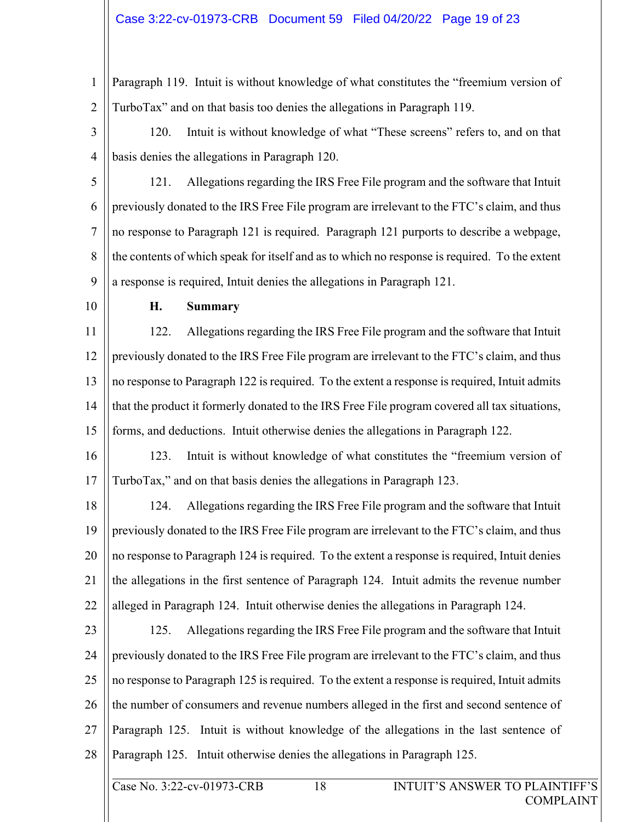#### Case 3:22-cv-01973-CRB Document 59 Filed 04/20/22 Page 19 of 23

1 2 Paragraph 119. Intuit is without knowledge of what constitutes the "freemium version of TurboTax" and on that basis too denies the allegations in Paragraph 119.

3 4 120. Intuit is without knowledge of what "These screens" refers to, and on that basis denies the allegations in Paragraph 120.

5 6 7 8 9 121. Allegations regarding the IRS Free File program and the software that Intuit previously donated to the IRS Free File program are irrelevant to the FTC's claim, and thus no response to Paragraph 121 is required. Paragraph 121 purports to describe a webpage, the contents of which speak for itself and as to which no response is required. To the extent a response is required, Intuit denies the allegations in Paragraph 121.

10

#### **H. Summary**

11 12 13 14 15 122. Allegations regarding the IRS Free File program and the software that Intuit previously donated to the IRS Free File program are irrelevant to the FTC's claim, and thus no response to Paragraph 122 is required. To the extent a response is required, Intuit admits that the product it formerly donated to the IRS Free File program covered all tax situations, forms, and deductions. Intuit otherwise denies the allegations in Paragraph 122.

16 17 123. Intuit is without knowledge of what constitutes the "freemium version of TurboTax," and on that basis denies the allegations in Paragraph 123.

18 19 20 21 22 124. Allegations regarding the IRS Free File program and the software that Intuit previously donated to the IRS Free File program are irrelevant to the FTC's claim, and thus no response to Paragraph 124 is required. To the extent a response is required, Intuit denies the allegations in the first sentence of Paragraph 124. Intuit admits the revenue number alleged in Paragraph 124. Intuit otherwise denies the allegations in Paragraph 124.

23 24 25 26 27 28 125. Allegations regarding the IRS Free File program and the software that Intuit previously donated to the IRS Free File program are irrelevant to the FTC's claim, and thus no response to Paragraph 125 is required. To the extent a response is required, Intuit admits the number of consumers and revenue numbers alleged in the first and second sentence of Paragraph 125. Intuit is without knowledge of the allegations in the last sentence of Paragraph 125. Intuit otherwise denies the allegations in Paragraph 125.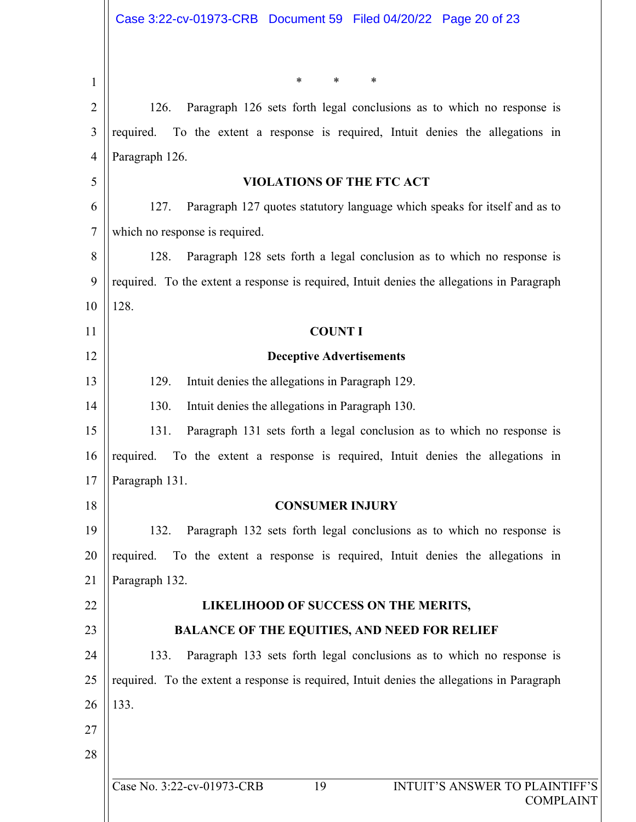Case No. 3:22-cv-01973-CRB 19 INTUIT'S ANSWER TO PLAINTIFF'S 1 2 3 4 5 6 7 8 9 10 11 12 13 14 15 16 17 18 19 20 21 22 23 24 25 26 27 28 \* \* \* 126. Paragraph 126 sets forth legal conclusions as to which no response is required. To the extent a response is required, Intuit denies the allegations in Paragraph 126. **VIOLATIONS OF THE FTC ACT**  127. Paragraph 127 quotes statutory language which speaks for itself and as to which no response is required. 128. Paragraph 128 sets forth a legal conclusion as to which no response is required. To the extent a response is required, Intuit denies the allegations in Paragraph 128. **COUNT I Deceptive Advertisements**  129. Intuit denies the allegations in Paragraph 129. 130. Intuit denies the allegations in Paragraph 130. 131. Paragraph 131 sets forth a legal conclusion as to which no response is required. To the extent a response is required, Intuit denies the allegations in Paragraph 131. **CONSUMER INJURY**  132. Paragraph 132 sets forth legal conclusions as to which no response is required. To the extent a response is required, Intuit denies the allegations in Paragraph 132. **LIKELIHOOD OF SUCCESS ON THE MERITS, BALANCE OF THE EQUITIES, AND NEED FOR RELIEF**  133. Paragraph 133 sets forth legal conclusions as to which no response is required. To the extent a response is required, Intuit denies the allegations in Paragraph 133.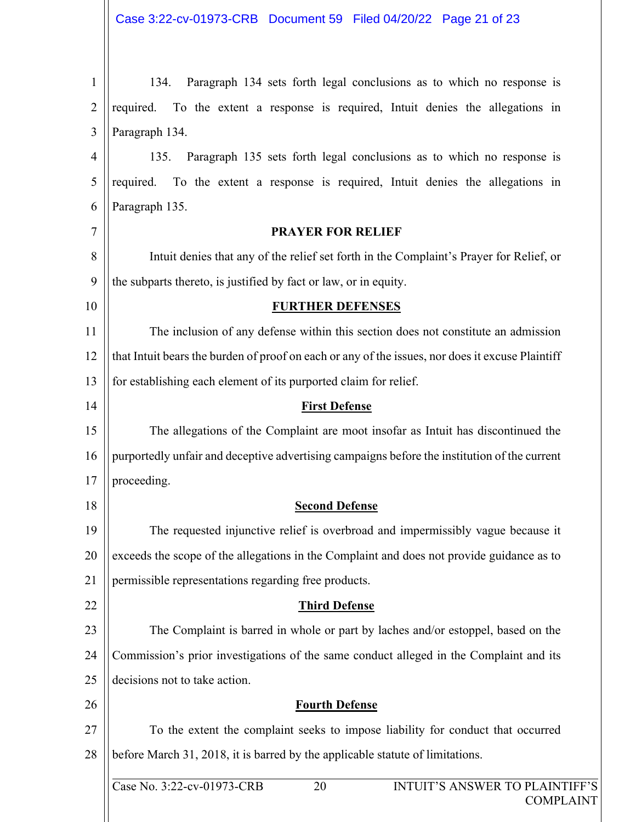| 1              | Paragraph 134 sets forth legal conclusions as to which no response is<br>134.                    |  |  |  |  |  |
|----------------|--------------------------------------------------------------------------------------------------|--|--|--|--|--|
| 2              | To the extent a response is required, Intuit denies the allegations in<br>required.              |  |  |  |  |  |
| 3              | Paragraph 134.                                                                                   |  |  |  |  |  |
| $\overline{4}$ | Paragraph 135 sets forth legal conclusions as to which no response is<br>135.                    |  |  |  |  |  |
| 5              | To the extent a response is required, Intuit denies the allegations in<br>required.              |  |  |  |  |  |
| 6              | Paragraph 135.                                                                                   |  |  |  |  |  |
| 7              | <b>PRAYER FOR RELIEF</b>                                                                         |  |  |  |  |  |
| 8              | Intuit denies that any of the relief set forth in the Complaint's Prayer for Relief, or          |  |  |  |  |  |
| 9              | the subparts thereto, is justified by fact or law, or in equity.                                 |  |  |  |  |  |
| 10             | <b>FURTHER DEFENSES</b>                                                                          |  |  |  |  |  |
| 11             | The inclusion of any defense within this section does not constitute an admission                |  |  |  |  |  |
| 12             | that Intuit bears the burden of proof on each or any of the issues, nor does it excuse Plaintiff |  |  |  |  |  |
| 13             | for establishing each element of its purported claim for relief.                                 |  |  |  |  |  |
| 14             | <b>First Defense</b>                                                                             |  |  |  |  |  |
| 15             | The allegations of the Complaint are moot insofar as Intuit has discontinued the                 |  |  |  |  |  |
| 16             | purportedly unfair and deceptive advertising campaigns before the institution of the current     |  |  |  |  |  |
| 17             | proceeding.                                                                                      |  |  |  |  |  |
| 18             | <b>Second Defense</b>                                                                            |  |  |  |  |  |
| 19             | The requested injunctive relief is overbroad and impermissibly vague because it                  |  |  |  |  |  |
| 20             | exceeds the scope of the allegations in the Complaint and does not provide guidance as to        |  |  |  |  |  |
| 21             | permissible representations regarding free products.                                             |  |  |  |  |  |
| 22             | <b>Third Defense</b>                                                                             |  |  |  |  |  |
| 23             | The Complaint is barred in whole or part by laches and/or estoppel, based on the                 |  |  |  |  |  |
| 24             | Commission's prior investigations of the same conduct alleged in the Complaint and its           |  |  |  |  |  |
| 25             | decisions not to take action.                                                                    |  |  |  |  |  |
| 26             | <b>Fourth Defense</b>                                                                            |  |  |  |  |  |
| 27             | To the extent the complaint seeks to impose liability for conduct that occurred                  |  |  |  |  |  |
| 28             | before March 31, 2018, it is barred by the applicable statute of limitations.                    |  |  |  |  |  |
|                | Case No. 3:22-cv-01973-CRB<br>INTUIT'S ANSWER TO PLAINTIFF'S<br>20                               |  |  |  |  |  |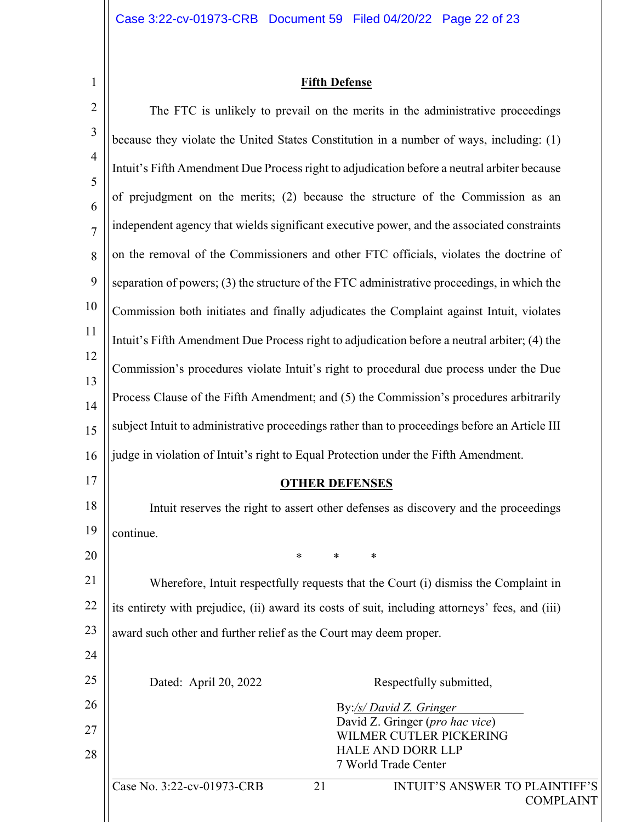1

 $\mathbf{I}$ 

## **Fifth Defense**

| $\overline{2}$      | The FTC is unlikely to prevail on the merits in the administrative proceedings                  |  |  |  |  |  |
|---------------------|-------------------------------------------------------------------------------------------------|--|--|--|--|--|
| 3                   | because they violate the United States Constitution in a number of ways, including: (1)         |  |  |  |  |  |
| $\overline{4}$      | Intuit's Fifth Amendment Due Process right to adjudication before a neutral arbiter because     |  |  |  |  |  |
| 5                   | of prejudgment on the merits; (2) because the structure of the Commission as an                 |  |  |  |  |  |
| 6<br>$\overline{7}$ | independent agency that wields significant executive power, and the associated constraints      |  |  |  |  |  |
| 8                   | on the removal of the Commissioners and other FTC officials, violates the doctrine of           |  |  |  |  |  |
| 9                   | separation of powers; (3) the structure of the FTC administrative proceedings, in which the     |  |  |  |  |  |
| 10                  | Commission both initiates and finally adjudicates the Complaint against Intuit, violates        |  |  |  |  |  |
| 11                  |                                                                                                 |  |  |  |  |  |
| 12                  | Intuit's Fifth Amendment Due Process right to adjudication before a neutral arbiter; (4) the    |  |  |  |  |  |
| 13                  | Commission's procedures violate Intuit's right to procedural due process under the Due          |  |  |  |  |  |
| 14                  | Process Clause of the Fifth Amendment; and (5) the Commission's procedures arbitrarily          |  |  |  |  |  |
| 15                  | subject Intuit to administrative proceedings rather than to proceedings before an Article III   |  |  |  |  |  |
| 16                  | judge in violation of Intuit's right to Equal Protection under the Fifth Amendment.             |  |  |  |  |  |
| 17                  | <b>OTHER DEFENSES</b>                                                                           |  |  |  |  |  |
| 18                  | Intuit reserves the right to assert other defenses as discovery and the proceedings             |  |  |  |  |  |
| 19                  | continue.                                                                                       |  |  |  |  |  |
| 20                  | *<br>∗<br>*                                                                                     |  |  |  |  |  |
| 21                  | Wherefore, Intuit respectfully requests that the Court (i) dismiss the Complaint in             |  |  |  |  |  |
| 22                  | its entirety with prejudice, (ii) award its costs of suit, including attorneys' fees, and (iii) |  |  |  |  |  |
| 23                  | award such other and further relief as the Court may deem proper.                               |  |  |  |  |  |
| 24                  |                                                                                                 |  |  |  |  |  |
| 25                  | Dated: April 20, 2022<br>Respectfully submitted,                                                |  |  |  |  |  |
| 26                  | By:/s/ David Z. Gringer                                                                         |  |  |  |  |  |
| 27                  | David Z. Gringer (pro hac vice)<br>WILMER CUTLER PICKERING                                      |  |  |  |  |  |
| 28                  | <b>HALE AND DORR LLP</b><br>7 World Trade Center                                                |  |  |  |  |  |
|                     | Case No. 3:22-cv-01973-CRB<br>21<br><b>INTUIT'S ANSWER TO PLAINTIFF'S</b>                       |  |  |  |  |  |
|                     | <b>COMPLAINT</b>                                                                                |  |  |  |  |  |